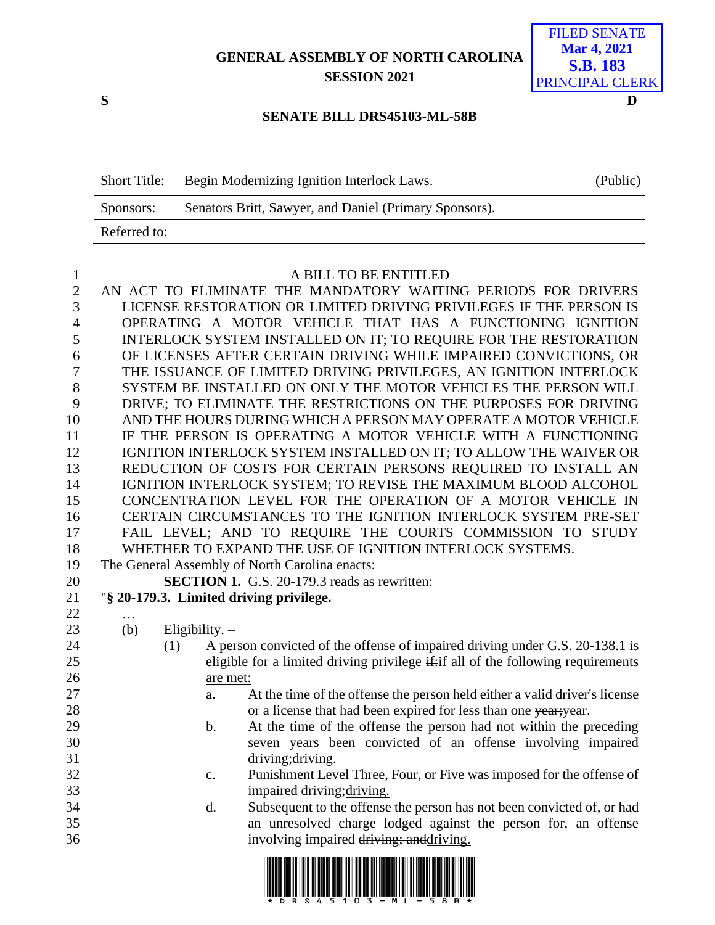**GENERAL ASSEMBLY OF NORTH CAROLINA SESSION 2021**



## **SENATE BILL DRS45103-ML-58B**

| <b>Short Title:</b> | Begin Modernizing Ignition Interlock Laws.             | (Public) |
|---------------------|--------------------------------------------------------|----------|
| Sponsors:           | Senators Britt, Sawyer, and Daniel (Primary Sponsors). |          |
| Referred to:        |                                                        |          |

## A BILL TO BE ENTITLED

 AN ACT TO ELIMINATE THE MANDATORY WAITING PERIODS FOR DRIVERS LICENSE RESTORATION OR LIMITED DRIVING PRIVILEGES IF THE PERSON IS OPERATING A MOTOR VEHICLE THAT HAS A FUNCTIONING IGNITION INTERLOCK SYSTEM INSTALLED ON IT; TO REQUIRE FOR THE RESTORATION OF LICENSES AFTER CERTAIN DRIVING WHILE IMPAIRED CONVICTIONS, OR THE ISSUANCE OF LIMITED DRIVING PRIVILEGES, AN IGNITION INTERLOCK SYSTEM BE INSTALLED ON ONLY THE MOTOR VEHICLES THE PERSON WILL DRIVE; TO ELIMINATE THE RESTRICTIONS ON THE PURPOSES FOR DRIVING AND THE HOURS DURING WHICH A PERSON MAY OPERATE A MOTOR VEHICLE IF THE PERSON IS OPERATING A MOTOR VEHICLE WITH A FUNCTIONING IGNITION INTERLOCK SYSTEM INSTALLED ON IT; TO ALLOW THE WAIVER OR REDUCTION OF COSTS FOR CERTAIN PERSONS REQUIRED TO INSTALL AN IGNITION INTERLOCK SYSTEM; TO REVISE THE MAXIMUM BLOOD ALCOHOL CONCENTRATION LEVEL FOR THE OPERATION OF A MOTOR VEHICLE IN CERTAIN CIRCUMSTANCES TO THE IGNITION INTERLOCK SYSTEM PRE-SET FAIL LEVEL; AND TO REQUIRE THE COURTS COMMISSION TO STUDY WHETHER TO EXPAND THE USE OF IGNITION INTERLOCK SYSTEMS. The General Assembly of North Carolina enacts: **SECTION 1.** G.S. 20-179.3 reads as rewritten: "**§ 20-179.3. Limited driving privilege.** …

(b) Eligibility. –

- (1) A person convicted of the offense of impaired driving under G.S. 20-138.1 is eligible for a limited driving privilege it all of the following requirements are met:
- a. At the time of the offense the person held either a valid driver's license 28 or a license that had been expired for less than one year; year.
- b. At the time of the offense the person had not within the preceding seven years been convicted of an offense involving impaired 31 driving; driving.
- c. Punishment Level Three, Four, or Five was imposed for the offense of 33 impaired driving; driving.
- d. Subsequent to the offense the person has not been convicted of, or had an unresolved charge lodged against the person for, an offense 36 involving impaired driving; and driving.

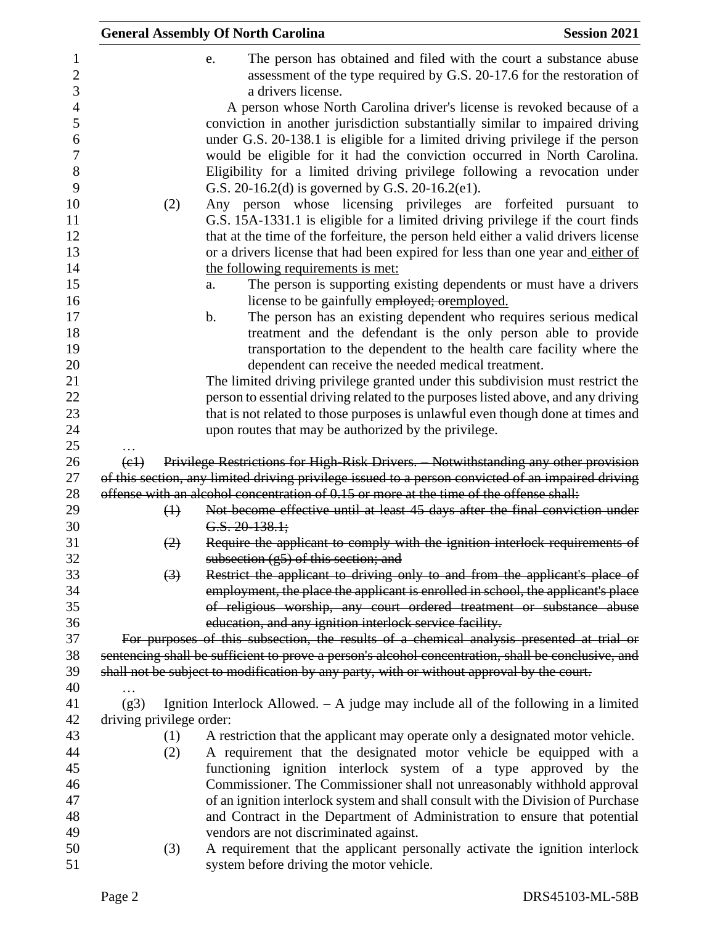|                            | <b>General Assembly Of North Carolina</b>                                                                                                                                                                                                                                                                                                                                                                                                                                                                                                                                                                                                                                                                                                                                        | <b>Session 2021</b> |
|----------------------------|----------------------------------------------------------------------------------------------------------------------------------------------------------------------------------------------------------------------------------------------------------------------------------------------------------------------------------------------------------------------------------------------------------------------------------------------------------------------------------------------------------------------------------------------------------------------------------------------------------------------------------------------------------------------------------------------------------------------------------------------------------------------------------|---------------------|
|                            | The person has obtained and filed with the court a substance abuse<br>e.<br>assessment of the type required by G.S. 20-17.6 for the restoration of<br>a drivers license.                                                                                                                                                                                                                                                                                                                                                                                                                                                                                                                                                                                                         |                     |
| (2)                        | A person whose North Carolina driver's license is revoked because of a<br>conviction in another jurisdiction substantially similar to impaired driving<br>under G.S. 20-138.1 is eligible for a limited driving privilege if the person<br>would be eligible for it had the conviction occurred in North Carolina.<br>Eligibility for a limited driving privilege following a revocation under<br>G.S. 20-16.2(d) is governed by G.S. 20-16.2(e1).<br>Any person whose licensing privileges are forfeited pursuant to<br>G.S. 15A-1331.1 is eligible for a limited driving privilege if the court finds<br>that at the time of the forfeiture, the person held either a valid drivers license<br>or a drivers license that had been expired for less than one year and either of |                     |
|                            | the following requirements is met:                                                                                                                                                                                                                                                                                                                                                                                                                                                                                                                                                                                                                                                                                                                                               |                     |
|                            | The person is supporting existing dependents or must have a drivers<br>a.<br>license to be gainfully employed; orgmployed.                                                                                                                                                                                                                                                                                                                                                                                                                                                                                                                                                                                                                                                       |                     |
|                            | The person has an existing dependent who requires serious medical<br>$\mathbf b$ .<br>treatment and the defendant is the only person able to provide<br>transportation to the dependent to the health care facility where the                                                                                                                                                                                                                                                                                                                                                                                                                                                                                                                                                    |                     |
|                            | dependent can receive the needed medical treatment.<br>The limited driving privilege granted under this subdivision must restrict the                                                                                                                                                                                                                                                                                                                                                                                                                                                                                                                                                                                                                                            |                     |
|                            | person to essential driving related to the purposes listed above, and any driving                                                                                                                                                                                                                                                                                                                                                                                                                                                                                                                                                                                                                                                                                                |                     |
|                            | that is not related to those purposes is unlawful even though done at times and                                                                                                                                                                                                                                                                                                                                                                                                                                                                                                                                                                                                                                                                                                  |                     |
|                            | upon routes that may be authorized by the privilege.                                                                                                                                                                                                                                                                                                                                                                                                                                                                                                                                                                                                                                                                                                                             |                     |
|                            |                                                                                                                                                                                                                                                                                                                                                                                                                                                                                                                                                                                                                                                                                                                                                                                  |                     |
| $\left(\frac{e}{e}\right)$ | Privilege Restrictions for High Risk Drivers. Notwithstanding any other provision                                                                                                                                                                                                                                                                                                                                                                                                                                                                                                                                                                                                                                                                                                |                     |
|                            | of this section, any limited driving privilege issued to a person convicted of an impaired driving<br>offense with an alcohol concentration of 0.15 or more at the time of the offense shall:                                                                                                                                                                                                                                                                                                                                                                                                                                                                                                                                                                                    |                     |
| $\bigoplus$                | Not become effective until at least 45 days after the final conviction under                                                                                                                                                                                                                                                                                                                                                                                                                                                                                                                                                                                                                                                                                                     |                     |
|                            | $G.S. 20-138.1;$                                                                                                                                                                                                                                                                                                                                                                                                                                                                                                                                                                                                                                                                                                                                                                 |                     |
| (2)                        | Require the applicant to comply with the ignition interlock requirements of<br>subsection $(g5)$ of this section; and                                                                                                                                                                                                                                                                                                                                                                                                                                                                                                                                                                                                                                                            |                     |
| $\left(3\right)$           | Restrict the applicant to driving only to and from the applicant's place of                                                                                                                                                                                                                                                                                                                                                                                                                                                                                                                                                                                                                                                                                                      |                     |
|                            | employment, the place the applicant is enrolled in school, the applicant's place                                                                                                                                                                                                                                                                                                                                                                                                                                                                                                                                                                                                                                                                                                 |                     |
|                            | of religious worship, any court ordered treatment or substance abuse                                                                                                                                                                                                                                                                                                                                                                                                                                                                                                                                                                                                                                                                                                             |                     |
|                            | education, and any ignition interlock service facility.                                                                                                                                                                                                                                                                                                                                                                                                                                                                                                                                                                                                                                                                                                                          |                     |
|                            | For purposes of this subsection, the results of a chemical analysis presented at trial or                                                                                                                                                                                                                                                                                                                                                                                                                                                                                                                                                                                                                                                                                        |                     |
|                            | sentencing shall be sufficient to prove a person's alcohol concentration, shall be conclusive, and                                                                                                                                                                                                                                                                                                                                                                                                                                                                                                                                                                                                                                                                               |                     |
|                            | shall not be subject to modification by any party, with or without approval by the court.                                                                                                                                                                                                                                                                                                                                                                                                                                                                                                                                                                                                                                                                                        |                     |
| .<br>(g3)                  | Ignition Interlock Allowed. $-$ A judge may include all of the following in a limited                                                                                                                                                                                                                                                                                                                                                                                                                                                                                                                                                                                                                                                                                            |                     |
| driving privilege order:   |                                                                                                                                                                                                                                                                                                                                                                                                                                                                                                                                                                                                                                                                                                                                                                                  |                     |
| (1)                        | A restriction that the applicant may operate only a designated motor vehicle.                                                                                                                                                                                                                                                                                                                                                                                                                                                                                                                                                                                                                                                                                                    |                     |
| (2)                        | A requirement that the designated motor vehicle be equipped with a                                                                                                                                                                                                                                                                                                                                                                                                                                                                                                                                                                                                                                                                                                               |                     |
|                            | functioning ignition interlock system of a type approved by the                                                                                                                                                                                                                                                                                                                                                                                                                                                                                                                                                                                                                                                                                                                  |                     |
|                            | Commissioner. The Commissioner shall not unreasonably withhold approval                                                                                                                                                                                                                                                                                                                                                                                                                                                                                                                                                                                                                                                                                                          |                     |
|                            | of an ignition interlock system and shall consult with the Division of Purchase                                                                                                                                                                                                                                                                                                                                                                                                                                                                                                                                                                                                                                                                                                  |                     |
|                            | and Contract in the Department of Administration to ensure that potential                                                                                                                                                                                                                                                                                                                                                                                                                                                                                                                                                                                                                                                                                                        |                     |
|                            | vendors are not discriminated against.                                                                                                                                                                                                                                                                                                                                                                                                                                                                                                                                                                                                                                                                                                                                           |                     |
| (3)                        | A requirement that the applicant personally activate the ignition interlock<br>system before driving the motor vehicle.                                                                                                                                                                                                                                                                                                                                                                                                                                                                                                                                                                                                                                                          |                     |
|                            |                                                                                                                                                                                                                                                                                                                                                                                                                                                                                                                                                                                                                                                                                                                                                                                  |                     |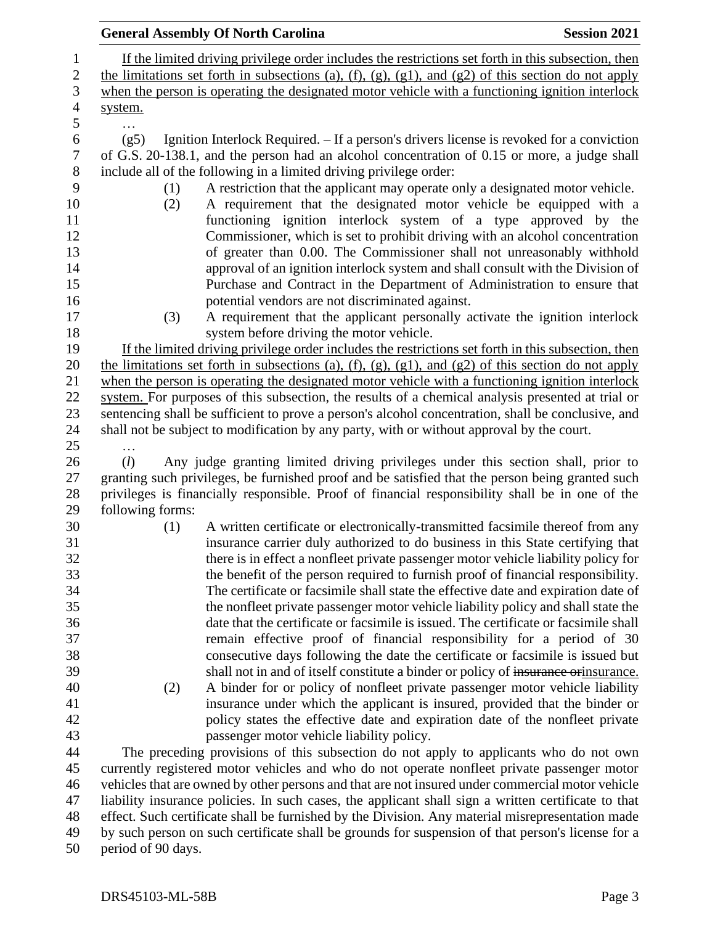|                    | <b>General Assembly Of North Carolina</b>                                                                                                                                                                                                                                                                                                                                                                                                                                                                                                       | <b>Session 2021</b> |
|--------------------|-------------------------------------------------------------------------------------------------------------------------------------------------------------------------------------------------------------------------------------------------------------------------------------------------------------------------------------------------------------------------------------------------------------------------------------------------------------------------------------------------------------------------------------------------|---------------------|
|                    | If the limited driving privilege order includes the restrictions set forth in this subsection, then                                                                                                                                                                                                                                                                                                                                                                                                                                             |                     |
|                    | the limitations set forth in subsections (a), (f), (g), (g1), and (g2) of this section do not apply                                                                                                                                                                                                                                                                                                                                                                                                                                             |                     |
|                    | when the person is operating the designated motor vehicle with a functioning ignition interlock                                                                                                                                                                                                                                                                                                                                                                                                                                                 |                     |
| system.            |                                                                                                                                                                                                                                                                                                                                                                                                                                                                                                                                                 |                     |
| .                  |                                                                                                                                                                                                                                                                                                                                                                                                                                                                                                                                                 |                     |
| (g5)               | Ignition Interlock Required. - If a person's drivers license is revoked for a conviction<br>of G.S. 20-138.1, and the person had an alcohol concentration of 0.15 or more, a judge shall                                                                                                                                                                                                                                                                                                                                                        |                     |
|                    | include all of the following in a limited driving privilege order:                                                                                                                                                                                                                                                                                                                                                                                                                                                                              |                     |
| (1)<br>(2)         | A restriction that the applicant may operate only a designated motor vehicle.<br>A requirement that the designated motor vehicle be equipped with a<br>functioning ignition interlock system of a type approved by the<br>Commissioner, which is set to prohibit driving with an alcohol concentration<br>of greater than 0.00. The Commissioner shall not unreasonably withhold<br>approval of an ignition interlock system and shall consult with the Division of<br>Purchase and Contract in the Department of Administration to ensure that |                     |
| (3)                | potential vendors are not discriminated against.<br>A requirement that the applicant personally activate the ignition interlock                                                                                                                                                                                                                                                                                                                                                                                                                 |                     |
|                    | system before driving the motor vehicle.                                                                                                                                                                                                                                                                                                                                                                                                                                                                                                        |                     |
|                    | If the limited driving privilege order includes the restrictions set forth in this subsection, then                                                                                                                                                                                                                                                                                                                                                                                                                                             |                     |
|                    | the limitations set forth in subsections (a), (f), (g), (g1), and (g2) of this section do not apply                                                                                                                                                                                                                                                                                                                                                                                                                                             |                     |
|                    | when the person is operating the designated motor vehicle with a functioning ignition interlock                                                                                                                                                                                                                                                                                                                                                                                                                                                 |                     |
|                    | system. For purposes of this subsection, the results of a chemical analysis presented at trial or                                                                                                                                                                                                                                                                                                                                                                                                                                               |                     |
|                    | sentencing shall be sufficient to prove a person's alcohol concentration, shall be conclusive, and                                                                                                                                                                                                                                                                                                                                                                                                                                              |                     |
|                    | shall not be subject to modification by any party, with or without approval by the court.                                                                                                                                                                                                                                                                                                                                                                                                                                                       |                     |
| .                  |                                                                                                                                                                                                                                                                                                                                                                                                                                                                                                                                                 |                     |
| (l)                | Any judge granting limited driving privileges under this section shall, prior to                                                                                                                                                                                                                                                                                                                                                                                                                                                                |                     |
|                    | granting such privileges, be furnished proof and be satisfied that the person being granted such                                                                                                                                                                                                                                                                                                                                                                                                                                                |                     |
|                    | privileges is financially responsible. Proof of financial responsibility shall be in one of the                                                                                                                                                                                                                                                                                                                                                                                                                                                 |                     |
| following forms:   |                                                                                                                                                                                                                                                                                                                                                                                                                                                                                                                                                 |                     |
| (1)                | A written certificate or electronically-transmitted facsimile thereof from any                                                                                                                                                                                                                                                                                                                                                                                                                                                                  |                     |
|                    | insurance carrier duly authorized to do business in this State certifying that                                                                                                                                                                                                                                                                                                                                                                                                                                                                  |                     |
|                    | there is in effect a nonfleet private passenger motor vehicle liability policy for                                                                                                                                                                                                                                                                                                                                                                                                                                                              |                     |
|                    | the benefit of the person required to furnish proof of financial responsibility.<br>The certificate or facsimile shall state the effective date and expiration date of                                                                                                                                                                                                                                                                                                                                                                          |                     |
|                    | the nonfleet private passenger motor vehicle liability policy and shall state the                                                                                                                                                                                                                                                                                                                                                                                                                                                               |                     |
|                    | date that the certificate or facsimile is issued. The certificate or facsimile shall                                                                                                                                                                                                                                                                                                                                                                                                                                                            |                     |
|                    | remain effective proof of financial responsibility for a period of 30                                                                                                                                                                                                                                                                                                                                                                                                                                                                           |                     |
|                    | consecutive days following the date the certificate or facsimile is issued but                                                                                                                                                                                                                                                                                                                                                                                                                                                                  |                     |
|                    | shall not in and of itself constitute a binder or policy of insurance or insurance.                                                                                                                                                                                                                                                                                                                                                                                                                                                             |                     |
| (2)                | A binder for or policy of nonfleet private passenger motor vehicle liability                                                                                                                                                                                                                                                                                                                                                                                                                                                                    |                     |
|                    | insurance under which the applicant is insured, provided that the binder or                                                                                                                                                                                                                                                                                                                                                                                                                                                                     |                     |
|                    | policy states the effective date and expiration date of the nonfleet private                                                                                                                                                                                                                                                                                                                                                                                                                                                                    |                     |
|                    | passenger motor vehicle liability policy.                                                                                                                                                                                                                                                                                                                                                                                                                                                                                                       |                     |
|                    | The preceding provisions of this subsection do not apply to applicants who do not own                                                                                                                                                                                                                                                                                                                                                                                                                                                           |                     |
|                    | currently registered motor vehicles and who do not operate nonfleet private passenger motor                                                                                                                                                                                                                                                                                                                                                                                                                                                     |                     |
|                    | vehicles that are owned by other persons and that are not insured under commercial motor vehicle                                                                                                                                                                                                                                                                                                                                                                                                                                                |                     |
|                    | liability insurance policies. In such cases, the applicant shall sign a written certificate to that                                                                                                                                                                                                                                                                                                                                                                                                                                             |                     |
|                    | effect. Such certificate shall be furnished by the Division. Any material misrepresentation made                                                                                                                                                                                                                                                                                                                                                                                                                                                |                     |
|                    | by such person on such certificate shall be grounds for suspension of that person's license for a                                                                                                                                                                                                                                                                                                                                                                                                                                               |                     |
| period of 90 days. |                                                                                                                                                                                                                                                                                                                                                                                                                                                                                                                                                 |                     |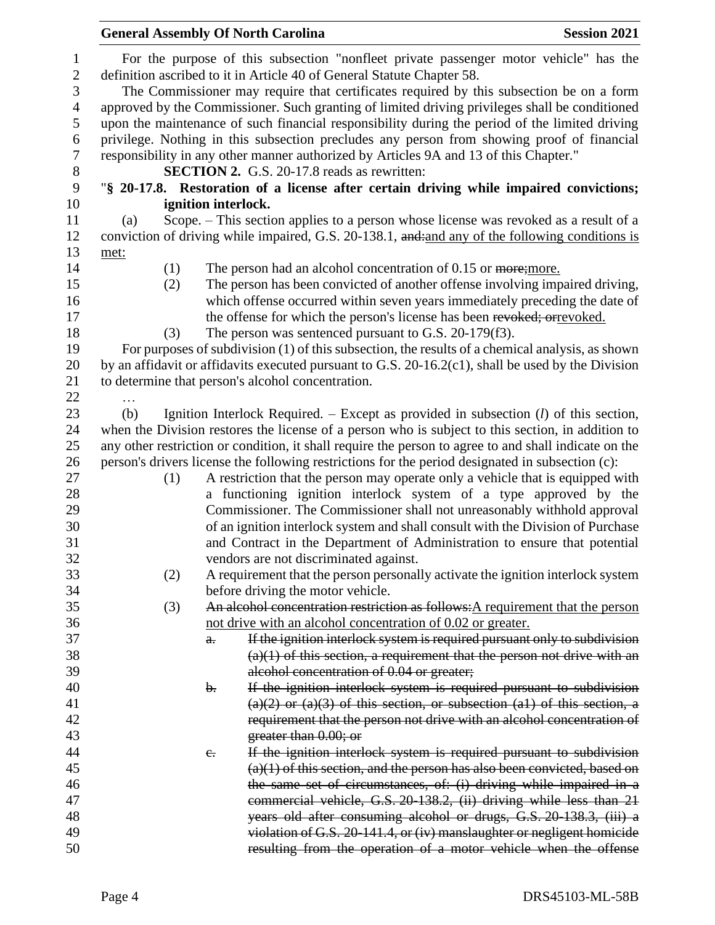|                          |      |                     | <b>General Assembly Of North Carolina</b>                                                                                                                 | <b>Session 2021</b> |
|--------------------------|------|---------------------|-----------------------------------------------------------------------------------------------------------------------------------------------------------|---------------------|
| $\mathbf{1}$             |      |                     | For the purpose of this subsection "nonfleet private passenger motor vehicle" has the                                                                     |                     |
| $\boldsymbol{2}$         |      |                     | definition ascribed to it in Article 40 of General Statute Chapter 58.                                                                                    |                     |
| $\mathfrak{Z}$           |      |                     | The Commissioner may require that certificates required by this subsection be on a form                                                                   |                     |
| $\overline{\mathcal{A}}$ |      |                     | approved by the Commissioner. Such granting of limited driving privileges shall be conditioned                                                            |                     |
| $\mathfrak s$            |      |                     | upon the maintenance of such financial responsibility during the period of the limited driving                                                            |                     |
| 6                        |      |                     | privilege. Nothing in this subsection precludes any person from showing proof of financial                                                                |                     |
| $\tau$                   |      |                     | responsibility in any other manner authorized by Articles 9A and 13 of this Chapter."                                                                     |                     |
| 8                        |      |                     | <b>SECTION 2.</b> G.S. 20-17.8 reads as rewritten:                                                                                                        |                     |
| 9                        |      |                     | "§ 20-17.8. Restoration of a license after certain driving while impaired convictions;                                                                    |                     |
| 10                       |      | ignition interlock. |                                                                                                                                                           |                     |
| 11                       | (a)  |                     | Scope. – This section applies to a person whose license was revoked as a result of a                                                                      |                     |
| 12                       |      |                     | conviction of driving while impaired, G.S. 20-138.1, and:and any of the following conditions is                                                           |                     |
| 13                       | met: |                     |                                                                                                                                                           |                     |
| 14                       | (1)  |                     | The person had an alcohol concentration of 0.15 or more; more.                                                                                            |                     |
| 15                       | (2)  |                     | The person has been convicted of another offense involving impaired driving,                                                                              |                     |
| 16                       |      |                     | which offense occurred within seven years immediately preceding the date of                                                                               |                     |
| 17                       |      |                     | the offense for which the person's license has been revoked; or revoked.                                                                                  |                     |
| 18<br>19                 | (3)  |                     | The person was sentenced pursuant to G.S. 20-179(f3).<br>For purposes of subdivision (1) of this subsection, the results of a chemical analysis, as shown |                     |
| 20                       |      |                     | by an affidavit or affidavits executed pursuant to G.S. 20-16.2(c1), shall be used by the Division                                                        |                     |
| 21                       |      |                     | to determine that person's alcohol concentration.                                                                                                         |                     |
| 22                       |      |                     |                                                                                                                                                           |                     |
| 23                       | (b)  |                     | Ignition Interlock Required. – Except as provided in subsection $(l)$ of this section,                                                                    |                     |
| 24                       |      |                     | when the Division restores the license of a person who is subject to this section, in addition to                                                         |                     |
| 25                       |      |                     | any other restriction or condition, it shall require the person to agree to and shall indicate on the                                                     |                     |
| 26                       |      |                     | person's drivers license the following restrictions for the period designated in subsection (c):                                                          |                     |
| 27                       | (1)  |                     | A restriction that the person may operate only a vehicle that is equipped with                                                                            |                     |
| 28                       |      |                     | a functioning ignition interlock system of a type approved by the                                                                                         |                     |
| 29                       |      |                     | Commissioner. The Commissioner shall not unreasonably withhold approval                                                                                   |                     |
| 30                       |      |                     | of an ignition interlock system and shall consult with the Division of Purchase                                                                           |                     |
| 31                       |      |                     | and Contract in the Department of Administration to ensure that potential                                                                                 |                     |
| 32                       |      |                     | vendors are not discriminated against.                                                                                                                    |                     |
| 33                       | (2)  |                     | A requirement that the person personally activate the ignition interlock system                                                                           |                     |
| 34                       |      |                     | before driving the motor vehicle.                                                                                                                         |                     |
| 35                       | (3)  |                     | An alcohol concentration restriction as follows: A requirement that the person                                                                            |                     |
| 36                       |      |                     | not drive with an alcohol concentration of 0.02 or greater.                                                                                               |                     |
| 37                       |      | a.                  | If the ignition interlock system is required pursuant only to subdivision                                                                                 |                     |
| 38                       |      |                     | $(a)(1)$ of this section, a requirement that the person not drive with an                                                                                 |                     |
| 39                       |      |                     | alcohol concentration of 0.04 or greater;                                                                                                                 |                     |
| 40                       |      | $\mathbf{b}$ .      | If the ignition interlock system is required pursuant to subdivision                                                                                      |                     |
| 41                       |      |                     | $(a)(2)$ or $(a)(3)$ of this section, or subsection $(a1)$ of this section, a                                                                             |                     |
| 42                       |      |                     | requirement that the person not drive with an alcohol concentration of                                                                                    |                     |
| 43                       |      |                     | greater than $0.00$ ; or                                                                                                                                  |                     |
| 44                       |      | $e_{\cdot}$         | If the ignition interlock system is required pursuant to subdivision                                                                                      |                     |
| 45                       |      |                     | $(a)(1)$ of this section, and the person has also been convicted, based on                                                                                |                     |
| 46                       |      |                     | the same set of circumstances, of: (i) driving while impaired in a                                                                                        |                     |
| 47                       |      |                     | commercial vehicle, G.S. 20-138.2, (ii) driving while less than 21                                                                                        |                     |
| 48                       |      |                     | years old after consuming alcohol or drugs, G.S. 20-138.3, (iii) a                                                                                        |                     |
| 49                       |      |                     | violation of G.S. 20-141.4, or (iv) manslaughter or negligent homicide                                                                                    |                     |
| 50                       |      |                     | resulting from the operation of a motor vehicle when the offense                                                                                          |                     |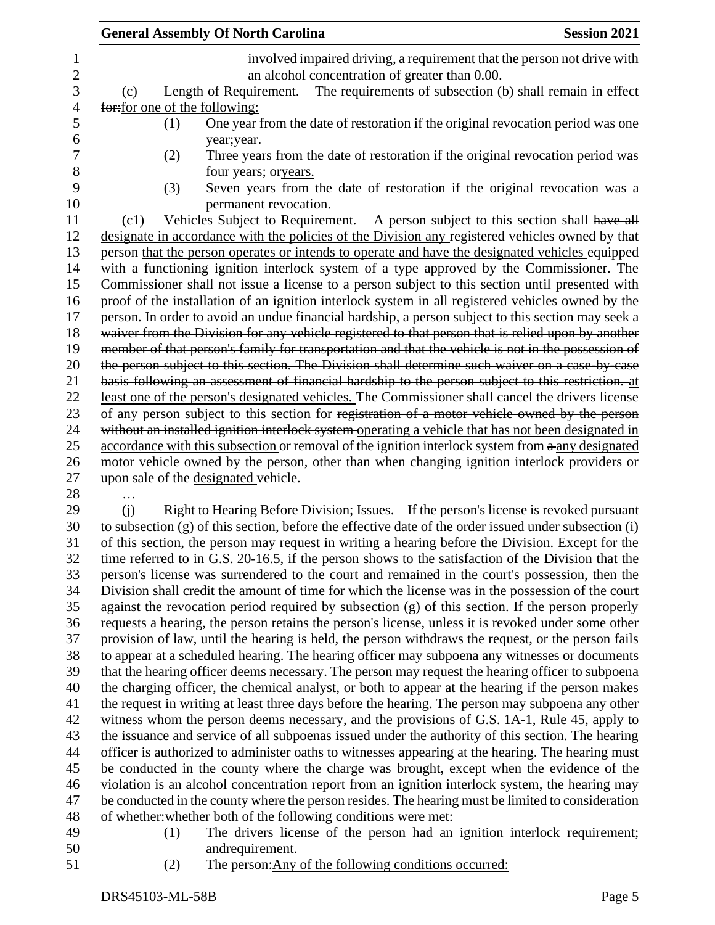| involved impaired driving, a requirement that the person not drive with<br>an alcohol concentration of greater than 0.00.<br>Length of Requirement. – The requirements of subsection (b) shall remain in effect<br>(c)<br>for: for one of the following:<br>One year from the date of restoration if the original revocation period was one<br>(1)<br>year; year.<br>Three years from the date of restoration if the original revocation period was<br>(2)<br>four years; oryears.<br>(3)<br>Seven years from the date of restoration if the original revocation was a<br>permanent revocation.<br>Vehicles Subject to Requirement. $- A$ person subject to this section shall have all<br>(c1)<br>designate in accordance with the policies of the Division any registered vehicles owned by that<br>person that the person operates or intends to operate and have the designated vehicles equipped<br>with a functioning ignition interlock system of a type approved by the Commissioner. The<br>Commissioner shall not issue a license to a person subject to this section until presented with<br>proof of the installation of an ignition interlock system in all registered vehicles owned by the<br>person. In order to avoid an undue financial hardship, a person subject to this section may seek a<br>waiver from the Division for any vehicle registered to that person that is relied upon by another<br>member of that person's family for transportation and that the vehicle is not in the possession of<br>the person subject to this section. The Division shall determine such waiver on a case by case<br>basis following an assessment of financial hardship to the person subject to this restriction. at<br>least one of the person's designated vehicles. The Commissioner shall cancel the drivers license<br>of any person subject to this section for registration of a motor vehicle owned by the person<br>without an installed ignition interlock system operating a vehicle that has not been designated in<br>accordance with this subsection or removal of the ignition interlock system from a any designated<br>motor vehicle owned by the person, other than when changing ignition interlock providers or<br>upon sale of the designated vehicle.<br>Right to Hearing Before Division; Issues. - If the person's license is revoked pursuant<br>(i)<br>to subsection (g) of this section, before the effective date of the order issued under subsection (i)<br>of this section, the person may request in writing a hearing before the Division. Except for the<br>time referred to in G.S. 20-16.5, if the person shows to the satisfaction of the Division that the<br>person's license was surrendered to the court and remained in the court's possession, then the<br>Division shall credit the amount of time for which the license was in the possession of the court<br>against the revocation period required by subsection (g) of this section. If the person properly<br>requests a hearing, the person retains the person's license, unless it is revoked under some other<br>provision of law, until the hearing is held, the person withdraws the request, or the person fails<br>to appear at a scheduled hearing. The hearing officer may subpoena any witnesses or documents<br>that the hearing officer deems necessary. The person may request the hearing officer to subpoena<br>the charging officer, the chemical analyst, or both to appear at the hearing if the person makes<br>the request in writing at least three days before the hearing. The person may subpoena any other<br>witness whom the person deems necessary, and the provisions of G.S. 1A-1, Rule 45, apply to<br>the issuance and service of all subpoenas issued under the authority of this section. The hearing<br>officer is authorized to administer oaths to witnesses appearing at the hearing. The hearing must<br>be conducted in the county where the charge was brought, except when the evidence of the | <b>General Assembly Of North Carolina</b> | <b>Session 2021</b> |
|--------------------------------------------------------------------------------------------------------------------------------------------------------------------------------------------------------------------------------------------------------------------------------------------------------------------------------------------------------------------------------------------------------------------------------------------------------------------------------------------------------------------------------------------------------------------------------------------------------------------------------------------------------------------------------------------------------------------------------------------------------------------------------------------------------------------------------------------------------------------------------------------------------------------------------------------------------------------------------------------------------------------------------------------------------------------------------------------------------------------------------------------------------------------------------------------------------------------------------------------------------------------------------------------------------------------------------------------------------------------------------------------------------------------------------------------------------------------------------------------------------------------------------------------------------------------------------------------------------------------------------------------------------------------------------------------------------------------------------------------------------------------------------------------------------------------------------------------------------------------------------------------------------------------------------------------------------------------------------------------------------------------------------------------------------------------------------------------------------------------------------------------------------------------------------------------------------------------------------------------------------------------------------------------------------------------------------------------------------------------------------------------------------------------------------------------------------------------------------------------------------------------------------------------------------------------------------------------------------------------------------------------------------------------------------------------------------------------------------------------------------------------------------------------------------------------------------------------------------------------------------------------------------------------------------------------------------------------------------------------------------------------------------------------------------------------------------------------------------------------------------------------------------------------------------------------------------------------------------------------------------------------------------------------------------------------------------------------------------------------------------------------------------------------------------------------------------------------------------------------------------------------------------------------------------------------------------------------------------------------------------------------------------------------------------------------------------------------------------------------------------------------------------------------------------------------------------------------------------------------------------------------------------------------------------------------------------------------------------------------------------------------------------------------------------|-------------------------------------------|---------------------|
|                                                                                                                                                                                                                                                                                                                                                                                                                                                                                                                                                                                                                                                                                                                                                                                                                                                                                                                                                                                                                                                                                                                                                                                                                                                                                                                                                                                                                                                                                                                                                                                                                                                                                                                                                                                                                                                                                                                                                                                                                                                                                                                                                                                                                                                                                                                                                                                                                                                                                                                                                                                                                                                                                                                                                                                                                                                                                                                                                                                                                                                                                                                                                                                                                                                                                                                                                                                                                                                                                                                                                                                                                                                                                                                                                                                                                                                                                                                                                                                                                                                        |                                           |                     |
|                                                                                                                                                                                                                                                                                                                                                                                                                                                                                                                                                                                                                                                                                                                                                                                                                                                                                                                                                                                                                                                                                                                                                                                                                                                                                                                                                                                                                                                                                                                                                                                                                                                                                                                                                                                                                                                                                                                                                                                                                                                                                                                                                                                                                                                                                                                                                                                                                                                                                                                                                                                                                                                                                                                                                                                                                                                                                                                                                                                                                                                                                                                                                                                                                                                                                                                                                                                                                                                                                                                                                                                                                                                                                                                                                                                                                                                                                                                                                                                                                                                        |                                           |                     |
|                                                                                                                                                                                                                                                                                                                                                                                                                                                                                                                                                                                                                                                                                                                                                                                                                                                                                                                                                                                                                                                                                                                                                                                                                                                                                                                                                                                                                                                                                                                                                                                                                                                                                                                                                                                                                                                                                                                                                                                                                                                                                                                                                                                                                                                                                                                                                                                                                                                                                                                                                                                                                                                                                                                                                                                                                                                                                                                                                                                                                                                                                                                                                                                                                                                                                                                                                                                                                                                                                                                                                                                                                                                                                                                                                                                                                                                                                                                                                                                                                                                        |                                           |                     |
|                                                                                                                                                                                                                                                                                                                                                                                                                                                                                                                                                                                                                                                                                                                                                                                                                                                                                                                                                                                                                                                                                                                                                                                                                                                                                                                                                                                                                                                                                                                                                                                                                                                                                                                                                                                                                                                                                                                                                                                                                                                                                                                                                                                                                                                                                                                                                                                                                                                                                                                                                                                                                                                                                                                                                                                                                                                                                                                                                                                                                                                                                                                                                                                                                                                                                                                                                                                                                                                                                                                                                                                                                                                                                                                                                                                                                                                                                                                                                                                                                                                        |                                           |                     |
|                                                                                                                                                                                                                                                                                                                                                                                                                                                                                                                                                                                                                                                                                                                                                                                                                                                                                                                                                                                                                                                                                                                                                                                                                                                                                                                                                                                                                                                                                                                                                                                                                                                                                                                                                                                                                                                                                                                                                                                                                                                                                                                                                                                                                                                                                                                                                                                                                                                                                                                                                                                                                                                                                                                                                                                                                                                                                                                                                                                                                                                                                                                                                                                                                                                                                                                                                                                                                                                                                                                                                                                                                                                                                                                                                                                                                                                                                                                                                                                                                                                        |                                           |                     |
|                                                                                                                                                                                                                                                                                                                                                                                                                                                                                                                                                                                                                                                                                                                                                                                                                                                                                                                                                                                                                                                                                                                                                                                                                                                                                                                                                                                                                                                                                                                                                                                                                                                                                                                                                                                                                                                                                                                                                                                                                                                                                                                                                                                                                                                                                                                                                                                                                                                                                                                                                                                                                                                                                                                                                                                                                                                                                                                                                                                                                                                                                                                                                                                                                                                                                                                                                                                                                                                                                                                                                                                                                                                                                                                                                                                                                                                                                                                                                                                                                                                        |                                           |                     |
|                                                                                                                                                                                                                                                                                                                                                                                                                                                                                                                                                                                                                                                                                                                                                                                                                                                                                                                                                                                                                                                                                                                                                                                                                                                                                                                                                                                                                                                                                                                                                                                                                                                                                                                                                                                                                                                                                                                                                                                                                                                                                                                                                                                                                                                                                                                                                                                                                                                                                                                                                                                                                                                                                                                                                                                                                                                                                                                                                                                                                                                                                                                                                                                                                                                                                                                                                                                                                                                                                                                                                                                                                                                                                                                                                                                                                                                                                                                                                                                                                                                        |                                           |                     |
|                                                                                                                                                                                                                                                                                                                                                                                                                                                                                                                                                                                                                                                                                                                                                                                                                                                                                                                                                                                                                                                                                                                                                                                                                                                                                                                                                                                                                                                                                                                                                                                                                                                                                                                                                                                                                                                                                                                                                                                                                                                                                                                                                                                                                                                                                                                                                                                                                                                                                                                                                                                                                                                                                                                                                                                                                                                                                                                                                                                                                                                                                                                                                                                                                                                                                                                                                                                                                                                                                                                                                                                                                                                                                                                                                                                                                                                                                                                                                                                                                                                        |                                           |                     |
|                                                                                                                                                                                                                                                                                                                                                                                                                                                                                                                                                                                                                                                                                                                                                                                                                                                                                                                                                                                                                                                                                                                                                                                                                                                                                                                                                                                                                                                                                                                                                                                                                                                                                                                                                                                                                                                                                                                                                                                                                                                                                                                                                                                                                                                                                                                                                                                                                                                                                                                                                                                                                                                                                                                                                                                                                                                                                                                                                                                                                                                                                                                                                                                                                                                                                                                                                                                                                                                                                                                                                                                                                                                                                                                                                                                                                                                                                                                                                                                                                                                        |                                           |                     |
|                                                                                                                                                                                                                                                                                                                                                                                                                                                                                                                                                                                                                                                                                                                                                                                                                                                                                                                                                                                                                                                                                                                                                                                                                                                                                                                                                                                                                                                                                                                                                                                                                                                                                                                                                                                                                                                                                                                                                                                                                                                                                                                                                                                                                                                                                                                                                                                                                                                                                                                                                                                                                                                                                                                                                                                                                                                                                                                                                                                                                                                                                                                                                                                                                                                                                                                                                                                                                                                                                                                                                                                                                                                                                                                                                                                                                                                                                                                                                                                                                                                        |                                           |                     |
|                                                                                                                                                                                                                                                                                                                                                                                                                                                                                                                                                                                                                                                                                                                                                                                                                                                                                                                                                                                                                                                                                                                                                                                                                                                                                                                                                                                                                                                                                                                                                                                                                                                                                                                                                                                                                                                                                                                                                                                                                                                                                                                                                                                                                                                                                                                                                                                                                                                                                                                                                                                                                                                                                                                                                                                                                                                                                                                                                                                                                                                                                                                                                                                                                                                                                                                                                                                                                                                                                                                                                                                                                                                                                                                                                                                                                                                                                                                                                                                                                                                        |                                           |                     |
|                                                                                                                                                                                                                                                                                                                                                                                                                                                                                                                                                                                                                                                                                                                                                                                                                                                                                                                                                                                                                                                                                                                                                                                                                                                                                                                                                                                                                                                                                                                                                                                                                                                                                                                                                                                                                                                                                                                                                                                                                                                                                                                                                                                                                                                                                                                                                                                                                                                                                                                                                                                                                                                                                                                                                                                                                                                                                                                                                                                                                                                                                                                                                                                                                                                                                                                                                                                                                                                                                                                                                                                                                                                                                                                                                                                                                                                                                                                                                                                                                                                        |                                           |                     |
|                                                                                                                                                                                                                                                                                                                                                                                                                                                                                                                                                                                                                                                                                                                                                                                                                                                                                                                                                                                                                                                                                                                                                                                                                                                                                                                                                                                                                                                                                                                                                                                                                                                                                                                                                                                                                                                                                                                                                                                                                                                                                                                                                                                                                                                                                                                                                                                                                                                                                                                                                                                                                                                                                                                                                                                                                                                                                                                                                                                                                                                                                                                                                                                                                                                                                                                                                                                                                                                                                                                                                                                                                                                                                                                                                                                                                                                                                                                                                                                                                                                        |                                           |                     |
|                                                                                                                                                                                                                                                                                                                                                                                                                                                                                                                                                                                                                                                                                                                                                                                                                                                                                                                                                                                                                                                                                                                                                                                                                                                                                                                                                                                                                                                                                                                                                                                                                                                                                                                                                                                                                                                                                                                                                                                                                                                                                                                                                                                                                                                                                                                                                                                                                                                                                                                                                                                                                                                                                                                                                                                                                                                                                                                                                                                                                                                                                                                                                                                                                                                                                                                                                                                                                                                                                                                                                                                                                                                                                                                                                                                                                                                                                                                                                                                                                                                        |                                           |                     |
|                                                                                                                                                                                                                                                                                                                                                                                                                                                                                                                                                                                                                                                                                                                                                                                                                                                                                                                                                                                                                                                                                                                                                                                                                                                                                                                                                                                                                                                                                                                                                                                                                                                                                                                                                                                                                                                                                                                                                                                                                                                                                                                                                                                                                                                                                                                                                                                                                                                                                                                                                                                                                                                                                                                                                                                                                                                                                                                                                                                                                                                                                                                                                                                                                                                                                                                                                                                                                                                                                                                                                                                                                                                                                                                                                                                                                                                                                                                                                                                                                                                        |                                           |                     |
|                                                                                                                                                                                                                                                                                                                                                                                                                                                                                                                                                                                                                                                                                                                                                                                                                                                                                                                                                                                                                                                                                                                                                                                                                                                                                                                                                                                                                                                                                                                                                                                                                                                                                                                                                                                                                                                                                                                                                                                                                                                                                                                                                                                                                                                                                                                                                                                                                                                                                                                                                                                                                                                                                                                                                                                                                                                                                                                                                                                                                                                                                                                                                                                                                                                                                                                                                                                                                                                                                                                                                                                                                                                                                                                                                                                                                                                                                                                                                                                                                                                        |                                           |                     |
|                                                                                                                                                                                                                                                                                                                                                                                                                                                                                                                                                                                                                                                                                                                                                                                                                                                                                                                                                                                                                                                                                                                                                                                                                                                                                                                                                                                                                                                                                                                                                                                                                                                                                                                                                                                                                                                                                                                                                                                                                                                                                                                                                                                                                                                                                                                                                                                                                                                                                                                                                                                                                                                                                                                                                                                                                                                                                                                                                                                                                                                                                                                                                                                                                                                                                                                                                                                                                                                                                                                                                                                                                                                                                                                                                                                                                                                                                                                                                                                                                                                        |                                           |                     |
|                                                                                                                                                                                                                                                                                                                                                                                                                                                                                                                                                                                                                                                                                                                                                                                                                                                                                                                                                                                                                                                                                                                                                                                                                                                                                                                                                                                                                                                                                                                                                                                                                                                                                                                                                                                                                                                                                                                                                                                                                                                                                                                                                                                                                                                                                                                                                                                                                                                                                                                                                                                                                                                                                                                                                                                                                                                                                                                                                                                                                                                                                                                                                                                                                                                                                                                                                                                                                                                                                                                                                                                                                                                                                                                                                                                                                                                                                                                                                                                                                                                        |                                           |                     |
|                                                                                                                                                                                                                                                                                                                                                                                                                                                                                                                                                                                                                                                                                                                                                                                                                                                                                                                                                                                                                                                                                                                                                                                                                                                                                                                                                                                                                                                                                                                                                                                                                                                                                                                                                                                                                                                                                                                                                                                                                                                                                                                                                                                                                                                                                                                                                                                                                                                                                                                                                                                                                                                                                                                                                                                                                                                                                                                                                                                                                                                                                                                                                                                                                                                                                                                                                                                                                                                                                                                                                                                                                                                                                                                                                                                                                                                                                                                                                                                                                                                        |                                           |                     |
|                                                                                                                                                                                                                                                                                                                                                                                                                                                                                                                                                                                                                                                                                                                                                                                                                                                                                                                                                                                                                                                                                                                                                                                                                                                                                                                                                                                                                                                                                                                                                                                                                                                                                                                                                                                                                                                                                                                                                                                                                                                                                                                                                                                                                                                                                                                                                                                                                                                                                                                                                                                                                                                                                                                                                                                                                                                                                                                                                                                                                                                                                                                                                                                                                                                                                                                                                                                                                                                                                                                                                                                                                                                                                                                                                                                                                                                                                                                                                                                                                                                        |                                           |                     |
|                                                                                                                                                                                                                                                                                                                                                                                                                                                                                                                                                                                                                                                                                                                                                                                                                                                                                                                                                                                                                                                                                                                                                                                                                                                                                                                                                                                                                                                                                                                                                                                                                                                                                                                                                                                                                                                                                                                                                                                                                                                                                                                                                                                                                                                                                                                                                                                                                                                                                                                                                                                                                                                                                                                                                                                                                                                                                                                                                                                                                                                                                                                                                                                                                                                                                                                                                                                                                                                                                                                                                                                                                                                                                                                                                                                                                                                                                                                                                                                                                                                        |                                           |                     |
|                                                                                                                                                                                                                                                                                                                                                                                                                                                                                                                                                                                                                                                                                                                                                                                                                                                                                                                                                                                                                                                                                                                                                                                                                                                                                                                                                                                                                                                                                                                                                                                                                                                                                                                                                                                                                                                                                                                                                                                                                                                                                                                                                                                                                                                                                                                                                                                                                                                                                                                                                                                                                                                                                                                                                                                                                                                                                                                                                                                                                                                                                                                                                                                                                                                                                                                                                                                                                                                                                                                                                                                                                                                                                                                                                                                                                                                                                                                                                                                                                                                        |                                           |                     |
|                                                                                                                                                                                                                                                                                                                                                                                                                                                                                                                                                                                                                                                                                                                                                                                                                                                                                                                                                                                                                                                                                                                                                                                                                                                                                                                                                                                                                                                                                                                                                                                                                                                                                                                                                                                                                                                                                                                                                                                                                                                                                                                                                                                                                                                                                                                                                                                                                                                                                                                                                                                                                                                                                                                                                                                                                                                                                                                                                                                                                                                                                                                                                                                                                                                                                                                                                                                                                                                                                                                                                                                                                                                                                                                                                                                                                                                                                                                                                                                                                                                        |                                           |                     |
|                                                                                                                                                                                                                                                                                                                                                                                                                                                                                                                                                                                                                                                                                                                                                                                                                                                                                                                                                                                                                                                                                                                                                                                                                                                                                                                                                                                                                                                                                                                                                                                                                                                                                                                                                                                                                                                                                                                                                                                                                                                                                                                                                                                                                                                                                                                                                                                                                                                                                                                                                                                                                                                                                                                                                                                                                                                                                                                                                                                                                                                                                                                                                                                                                                                                                                                                                                                                                                                                                                                                                                                                                                                                                                                                                                                                                                                                                                                                                                                                                                                        |                                           |                     |
|                                                                                                                                                                                                                                                                                                                                                                                                                                                                                                                                                                                                                                                                                                                                                                                                                                                                                                                                                                                                                                                                                                                                                                                                                                                                                                                                                                                                                                                                                                                                                                                                                                                                                                                                                                                                                                                                                                                                                                                                                                                                                                                                                                                                                                                                                                                                                                                                                                                                                                                                                                                                                                                                                                                                                                                                                                                                                                                                                                                                                                                                                                                                                                                                                                                                                                                                                                                                                                                                                                                                                                                                                                                                                                                                                                                                                                                                                                                                                                                                                                                        |                                           |                     |
|                                                                                                                                                                                                                                                                                                                                                                                                                                                                                                                                                                                                                                                                                                                                                                                                                                                                                                                                                                                                                                                                                                                                                                                                                                                                                                                                                                                                                                                                                                                                                                                                                                                                                                                                                                                                                                                                                                                                                                                                                                                                                                                                                                                                                                                                                                                                                                                                                                                                                                                                                                                                                                                                                                                                                                                                                                                                                                                                                                                                                                                                                                                                                                                                                                                                                                                                                                                                                                                                                                                                                                                                                                                                                                                                                                                                                                                                                                                                                                                                                                                        |                                           |                     |
|                                                                                                                                                                                                                                                                                                                                                                                                                                                                                                                                                                                                                                                                                                                                                                                                                                                                                                                                                                                                                                                                                                                                                                                                                                                                                                                                                                                                                                                                                                                                                                                                                                                                                                                                                                                                                                                                                                                                                                                                                                                                                                                                                                                                                                                                                                                                                                                                                                                                                                                                                                                                                                                                                                                                                                                                                                                                                                                                                                                                                                                                                                                                                                                                                                                                                                                                                                                                                                                                                                                                                                                                                                                                                                                                                                                                                                                                                                                                                                                                                                                        |                                           |                     |
|                                                                                                                                                                                                                                                                                                                                                                                                                                                                                                                                                                                                                                                                                                                                                                                                                                                                                                                                                                                                                                                                                                                                                                                                                                                                                                                                                                                                                                                                                                                                                                                                                                                                                                                                                                                                                                                                                                                                                                                                                                                                                                                                                                                                                                                                                                                                                                                                                                                                                                                                                                                                                                                                                                                                                                                                                                                                                                                                                                                                                                                                                                                                                                                                                                                                                                                                                                                                                                                                                                                                                                                                                                                                                                                                                                                                                                                                                                                                                                                                                                                        |                                           |                     |
|                                                                                                                                                                                                                                                                                                                                                                                                                                                                                                                                                                                                                                                                                                                                                                                                                                                                                                                                                                                                                                                                                                                                                                                                                                                                                                                                                                                                                                                                                                                                                                                                                                                                                                                                                                                                                                                                                                                                                                                                                                                                                                                                                                                                                                                                                                                                                                                                                                                                                                                                                                                                                                                                                                                                                                                                                                                                                                                                                                                                                                                                                                                                                                                                                                                                                                                                                                                                                                                                                                                                                                                                                                                                                                                                                                                                                                                                                                                                                                                                                                                        |                                           |                     |
|                                                                                                                                                                                                                                                                                                                                                                                                                                                                                                                                                                                                                                                                                                                                                                                                                                                                                                                                                                                                                                                                                                                                                                                                                                                                                                                                                                                                                                                                                                                                                                                                                                                                                                                                                                                                                                                                                                                                                                                                                                                                                                                                                                                                                                                                                                                                                                                                                                                                                                                                                                                                                                                                                                                                                                                                                                                                                                                                                                                                                                                                                                                                                                                                                                                                                                                                                                                                                                                                                                                                                                                                                                                                                                                                                                                                                                                                                                                                                                                                                                                        |                                           |                     |
|                                                                                                                                                                                                                                                                                                                                                                                                                                                                                                                                                                                                                                                                                                                                                                                                                                                                                                                                                                                                                                                                                                                                                                                                                                                                                                                                                                                                                                                                                                                                                                                                                                                                                                                                                                                                                                                                                                                                                                                                                                                                                                                                                                                                                                                                                                                                                                                                                                                                                                                                                                                                                                                                                                                                                                                                                                                                                                                                                                                                                                                                                                                                                                                                                                                                                                                                                                                                                                                                                                                                                                                                                                                                                                                                                                                                                                                                                                                                                                                                                                                        |                                           |                     |
|                                                                                                                                                                                                                                                                                                                                                                                                                                                                                                                                                                                                                                                                                                                                                                                                                                                                                                                                                                                                                                                                                                                                                                                                                                                                                                                                                                                                                                                                                                                                                                                                                                                                                                                                                                                                                                                                                                                                                                                                                                                                                                                                                                                                                                                                                                                                                                                                                                                                                                                                                                                                                                                                                                                                                                                                                                                                                                                                                                                                                                                                                                                                                                                                                                                                                                                                                                                                                                                                                                                                                                                                                                                                                                                                                                                                                                                                                                                                                                                                                                                        |                                           |                     |
|                                                                                                                                                                                                                                                                                                                                                                                                                                                                                                                                                                                                                                                                                                                                                                                                                                                                                                                                                                                                                                                                                                                                                                                                                                                                                                                                                                                                                                                                                                                                                                                                                                                                                                                                                                                                                                                                                                                                                                                                                                                                                                                                                                                                                                                                                                                                                                                                                                                                                                                                                                                                                                                                                                                                                                                                                                                                                                                                                                                                                                                                                                                                                                                                                                                                                                                                                                                                                                                                                                                                                                                                                                                                                                                                                                                                                                                                                                                                                                                                                                                        |                                           |                     |
|                                                                                                                                                                                                                                                                                                                                                                                                                                                                                                                                                                                                                                                                                                                                                                                                                                                                                                                                                                                                                                                                                                                                                                                                                                                                                                                                                                                                                                                                                                                                                                                                                                                                                                                                                                                                                                                                                                                                                                                                                                                                                                                                                                                                                                                                                                                                                                                                                                                                                                                                                                                                                                                                                                                                                                                                                                                                                                                                                                                                                                                                                                                                                                                                                                                                                                                                                                                                                                                                                                                                                                                                                                                                                                                                                                                                                                                                                                                                                                                                                                                        |                                           |                     |
|                                                                                                                                                                                                                                                                                                                                                                                                                                                                                                                                                                                                                                                                                                                                                                                                                                                                                                                                                                                                                                                                                                                                                                                                                                                                                                                                                                                                                                                                                                                                                                                                                                                                                                                                                                                                                                                                                                                                                                                                                                                                                                                                                                                                                                                                                                                                                                                                                                                                                                                                                                                                                                                                                                                                                                                                                                                                                                                                                                                                                                                                                                                                                                                                                                                                                                                                                                                                                                                                                                                                                                                                                                                                                                                                                                                                                                                                                                                                                                                                                                                        |                                           |                     |
|                                                                                                                                                                                                                                                                                                                                                                                                                                                                                                                                                                                                                                                                                                                                                                                                                                                                                                                                                                                                                                                                                                                                                                                                                                                                                                                                                                                                                                                                                                                                                                                                                                                                                                                                                                                                                                                                                                                                                                                                                                                                                                                                                                                                                                                                                                                                                                                                                                                                                                                                                                                                                                                                                                                                                                                                                                                                                                                                                                                                                                                                                                                                                                                                                                                                                                                                                                                                                                                                                                                                                                                                                                                                                                                                                                                                                                                                                                                                                                                                                                                        |                                           |                     |
|                                                                                                                                                                                                                                                                                                                                                                                                                                                                                                                                                                                                                                                                                                                                                                                                                                                                                                                                                                                                                                                                                                                                                                                                                                                                                                                                                                                                                                                                                                                                                                                                                                                                                                                                                                                                                                                                                                                                                                                                                                                                                                                                                                                                                                                                                                                                                                                                                                                                                                                                                                                                                                                                                                                                                                                                                                                                                                                                                                                                                                                                                                                                                                                                                                                                                                                                                                                                                                                                                                                                                                                                                                                                                                                                                                                                                                                                                                                                                                                                                                                        |                                           |                     |
|                                                                                                                                                                                                                                                                                                                                                                                                                                                                                                                                                                                                                                                                                                                                                                                                                                                                                                                                                                                                                                                                                                                                                                                                                                                                                                                                                                                                                                                                                                                                                                                                                                                                                                                                                                                                                                                                                                                                                                                                                                                                                                                                                                                                                                                                                                                                                                                                                                                                                                                                                                                                                                                                                                                                                                                                                                                                                                                                                                                                                                                                                                                                                                                                                                                                                                                                                                                                                                                                                                                                                                                                                                                                                                                                                                                                                                                                                                                                                                                                                                                        |                                           |                     |
|                                                                                                                                                                                                                                                                                                                                                                                                                                                                                                                                                                                                                                                                                                                                                                                                                                                                                                                                                                                                                                                                                                                                                                                                                                                                                                                                                                                                                                                                                                                                                                                                                                                                                                                                                                                                                                                                                                                                                                                                                                                                                                                                                                                                                                                                                                                                                                                                                                                                                                                                                                                                                                                                                                                                                                                                                                                                                                                                                                                                                                                                                                                                                                                                                                                                                                                                                                                                                                                                                                                                                                                                                                                                                                                                                                                                                                                                                                                                                                                                                                                        |                                           |                     |
|                                                                                                                                                                                                                                                                                                                                                                                                                                                                                                                                                                                                                                                                                                                                                                                                                                                                                                                                                                                                                                                                                                                                                                                                                                                                                                                                                                                                                                                                                                                                                                                                                                                                                                                                                                                                                                                                                                                                                                                                                                                                                                                                                                                                                                                                                                                                                                                                                                                                                                                                                                                                                                                                                                                                                                                                                                                                                                                                                                                                                                                                                                                                                                                                                                                                                                                                                                                                                                                                                                                                                                                                                                                                                                                                                                                                                                                                                                                                                                                                                                                        |                                           |                     |
|                                                                                                                                                                                                                                                                                                                                                                                                                                                                                                                                                                                                                                                                                                                                                                                                                                                                                                                                                                                                                                                                                                                                                                                                                                                                                                                                                                                                                                                                                                                                                                                                                                                                                                                                                                                                                                                                                                                                                                                                                                                                                                                                                                                                                                                                                                                                                                                                                                                                                                                                                                                                                                                                                                                                                                                                                                                                                                                                                                                                                                                                                                                                                                                                                                                                                                                                                                                                                                                                                                                                                                                                                                                                                                                                                                                                                                                                                                                                                                                                                                                        |                                           |                     |
|                                                                                                                                                                                                                                                                                                                                                                                                                                                                                                                                                                                                                                                                                                                                                                                                                                                                                                                                                                                                                                                                                                                                                                                                                                                                                                                                                                                                                                                                                                                                                                                                                                                                                                                                                                                                                                                                                                                                                                                                                                                                                                                                                                                                                                                                                                                                                                                                                                                                                                                                                                                                                                                                                                                                                                                                                                                                                                                                                                                                                                                                                                                                                                                                                                                                                                                                                                                                                                                                                                                                                                                                                                                                                                                                                                                                                                                                                                                                                                                                                                                        |                                           |                     |
|                                                                                                                                                                                                                                                                                                                                                                                                                                                                                                                                                                                                                                                                                                                                                                                                                                                                                                                                                                                                                                                                                                                                                                                                                                                                                                                                                                                                                                                                                                                                                                                                                                                                                                                                                                                                                                                                                                                                                                                                                                                                                                                                                                                                                                                                                                                                                                                                                                                                                                                                                                                                                                                                                                                                                                                                                                                                                                                                                                                                                                                                                                                                                                                                                                                                                                                                                                                                                                                                                                                                                                                                                                                                                                                                                                                                                                                                                                                                                                                                                                                        |                                           |                     |
|                                                                                                                                                                                                                                                                                                                                                                                                                                                                                                                                                                                                                                                                                                                                                                                                                                                                                                                                                                                                                                                                                                                                                                                                                                                                                                                                                                                                                                                                                                                                                                                                                                                                                                                                                                                                                                                                                                                                                                                                                                                                                                                                                                                                                                                                                                                                                                                                                                                                                                                                                                                                                                                                                                                                                                                                                                                                                                                                                                                                                                                                                                                                                                                                                                                                                                                                                                                                                                                                                                                                                                                                                                                                                                                                                                                                                                                                                                                                                                                                                                                        |                                           |                     |
| violation is an alcohol concentration report from an ignition interlock system, the hearing may                                                                                                                                                                                                                                                                                                                                                                                                                                                                                                                                                                                                                                                                                                                                                                                                                                                                                                                                                                                                                                                                                                                                                                                                                                                                                                                                                                                                                                                                                                                                                                                                                                                                                                                                                                                                                                                                                                                                                                                                                                                                                                                                                                                                                                                                                                                                                                                                                                                                                                                                                                                                                                                                                                                                                                                                                                                                                                                                                                                                                                                                                                                                                                                                                                                                                                                                                                                                                                                                                                                                                                                                                                                                                                                                                                                                                                                                                                                                                        |                                           |                     |
| be conducted in the county where the person resides. The hearing must be limited to consideration                                                                                                                                                                                                                                                                                                                                                                                                                                                                                                                                                                                                                                                                                                                                                                                                                                                                                                                                                                                                                                                                                                                                                                                                                                                                                                                                                                                                                                                                                                                                                                                                                                                                                                                                                                                                                                                                                                                                                                                                                                                                                                                                                                                                                                                                                                                                                                                                                                                                                                                                                                                                                                                                                                                                                                                                                                                                                                                                                                                                                                                                                                                                                                                                                                                                                                                                                                                                                                                                                                                                                                                                                                                                                                                                                                                                                                                                                                                                                      |                                           |                     |
| of whether: whether both of the following conditions were met:                                                                                                                                                                                                                                                                                                                                                                                                                                                                                                                                                                                                                                                                                                                                                                                                                                                                                                                                                                                                                                                                                                                                                                                                                                                                                                                                                                                                                                                                                                                                                                                                                                                                                                                                                                                                                                                                                                                                                                                                                                                                                                                                                                                                                                                                                                                                                                                                                                                                                                                                                                                                                                                                                                                                                                                                                                                                                                                                                                                                                                                                                                                                                                                                                                                                                                                                                                                                                                                                                                                                                                                                                                                                                                                                                                                                                                                                                                                                                                                         |                                           |                     |

- 
- 49 (1) The drivers license of the person had an ignition interlock requirement; 50 and <u>requirement</u>.
- 51 (2) The person: <u>Any of the following conditions occurred:</u>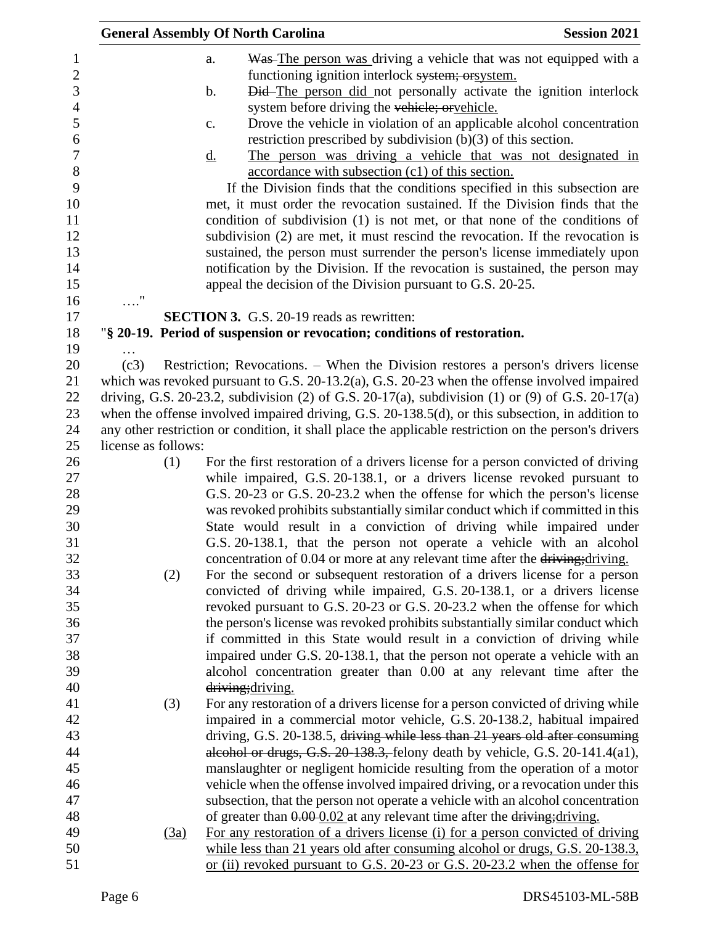|                     | <b>General Assembly Of North Carolina</b>                                                                                                            | <b>Session 2021</b> |
|---------------------|------------------------------------------------------------------------------------------------------------------------------------------------------|---------------------|
|                     | Was The person was driving a vehicle that was not equipped with a<br>a.                                                                              |                     |
|                     | functioning ignition interlock system; or system.                                                                                                    |                     |
|                     | Did-The person did not personally activate the ignition interlock<br>b.                                                                              |                     |
|                     | system before driving the vehicle; or vehicle.                                                                                                       |                     |
|                     | Drove the vehicle in violation of an applicable alcohol concentration<br>c.                                                                          |                     |
|                     | restriction prescribed by subdivision $(b)(3)$ of this section.                                                                                      |                     |
|                     | The person was driving a vehicle that was not designated in<br><u>d.</u>                                                                             |                     |
|                     | accordance with subsection (c1) of this section.                                                                                                     |                     |
|                     | If the Division finds that the conditions specified in this subsection are                                                                           |                     |
|                     | met, it must order the revocation sustained. If the Division finds that the                                                                          |                     |
|                     | condition of subdivision (1) is not met, or that none of the conditions of                                                                           |                     |
|                     | subdivision (2) are met, it must rescind the revocation. If the revocation is                                                                        |                     |
|                     | sustained, the person must surrender the person's license immediately upon                                                                           |                     |
|                     | notification by the Division. If the revocation is sustained, the person may                                                                         |                     |
|                     | appeal the decision of the Division pursuant to G.S. 20-25.                                                                                          |                     |
| $\ldots$ "          |                                                                                                                                                      |                     |
|                     | <b>SECTION 3.</b> G.S. 20-19 reads as rewritten:                                                                                                     |                     |
|                     | "§ 20-19. Period of suspension or revocation; conditions of restoration.                                                                             |                     |
|                     |                                                                                                                                                      |                     |
| (c3)                | Restriction; Revocations. – When the Division restores a person's drivers license                                                                    |                     |
|                     | which was revoked pursuant to G.S. $20-13.2(a)$ , G.S. $20-23$ when the offense involved impaired                                                    |                     |
|                     | driving, G.S. 20-23.2, subdivision (2) of G.S. 20-17(a), subdivision (1) or (9) of G.S. 20-17(a)                                                     |                     |
|                     | when the offense involved impaired driving, G.S. 20-138.5(d), or this subsection, in addition to                                                     |                     |
|                     | any other restriction or condition, it shall place the applicable restriction on the person's drivers                                                |                     |
| license as follows: |                                                                                                                                                      |                     |
| (1)                 | For the first restoration of a drivers license for a person convicted of driving                                                                     |                     |
|                     | while impaired, G.S. 20-138.1, or a drivers license revoked pursuant to                                                                              |                     |
|                     | G.S. 20-23 or G.S. 20-23.2 when the offense for which the person's license                                                                           |                     |
|                     | was revoked prohibits substantially similar conduct which if committed in this<br>State would result in a conviction of driving while impaired under |                     |
|                     | G.S. 20-138.1, that the person not operate a vehicle with an alcohol                                                                                 |                     |
|                     | concentration of 0.04 or more at any relevant time after the driving; driving.                                                                       |                     |
| (2)                 | For the second or subsequent restoration of a drivers license for a person                                                                           |                     |
|                     | convicted of driving while impaired, G.S. 20-138.1, or a drivers license                                                                             |                     |
|                     | revoked pursuant to G.S. 20-23 or G.S. 20-23.2 when the offense for which                                                                            |                     |
|                     | the person's license was revoked prohibits substantially similar conduct which                                                                       |                     |
|                     | if committed in this State would result in a conviction of driving while                                                                             |                     |
|                     | impaired under G.S. 20-138.1, that the person not operate a vehicle with an                                                                          |                     |
|                     | alcohol concentration greater than 0.00 at any relevant time after the                                                                               |                     |
|                     | driving; driving.                                                                                                                                    |                     |
| (3)                 | For any restoration of a drivers license for a person convicted of driving while                                                                     |                     |
|                     | impaired in a commercial motor vehicle, G.S. 20-138.2, habitual impaired                                                                             |                     |
|                     | driving, G.S. 20-138.5, driving while less than 21 years old after consuming                                                                         |                     |
|                     | alcohol or drugs, G.S. $20-138.3$ , felony death by vehicle, G.S. $20-141.4(a1)$ ,                                                                   |                     |
|                     | manslaughter or negligent homicide resulting from the operation of a motor                                                                           |                     |
|                     | vehicle when the offense involved impaired driving, or a revocation under this                                                                       |                     |
|                     | subsection, that the person not operate a vehicle with an alcohol concentration                                                                      |                     |
|                     | of greater than $0.00 \times 0.02$ at any relevant time after the driving; driving.                                                                  |                     |
| (3a)                | For any restoration of a drivers license (i) for a person convicted of driving                                                                       |                     |
|                     | while less than 21 years old after consuming alcohol or drugs, G.S. 20-138.3,                                                                        |                     |
|                     | or (ii) revoked pursuant to G.S. 20-23 or G.S. 20-23.2 when the offense for                                                                          |                     |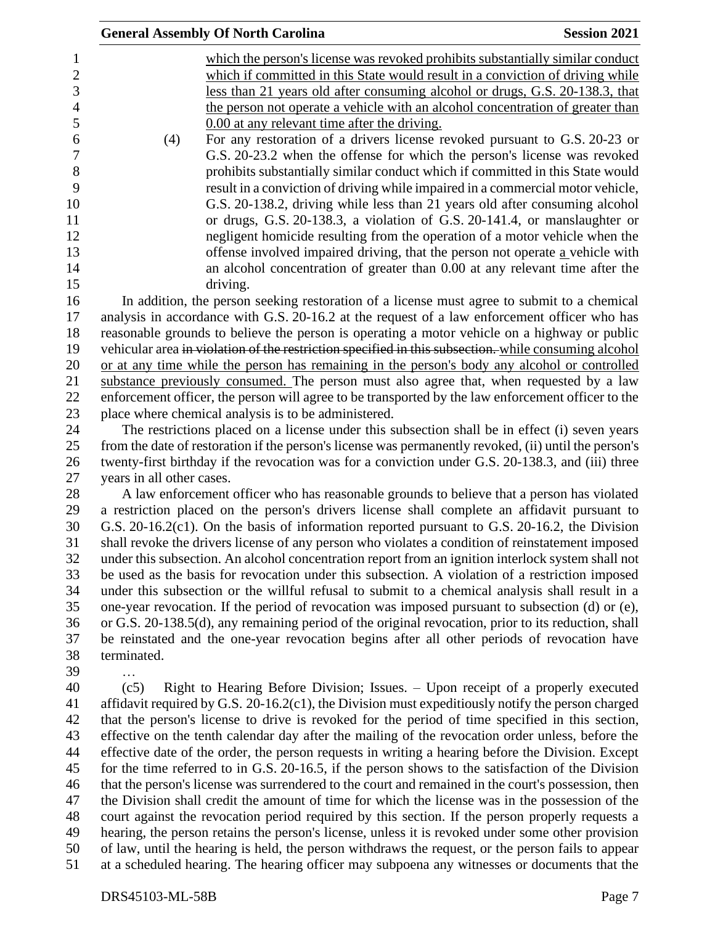|                           | <b>General Assembly Of North Carolina</b>            | <b>Session 2021</b>                                                                                                                                                                                    |
|---------------------------|------------------------------------------------------|--------------------------------------------------------------------------------------------------------------------------------------------------------------------------------------------------------|
|                           |                                                      | which the person's license was revoked prohibits substantially similar conduct                                                                                                                         |
|                           |                                                      | which if committed in this State would result in a conviction of driving while                                                                                                                         |
|                           |                                                      | less than 21 years old after consuming alcohol or drugs, G.S. 20-138.3, that                                                                                                                           |
|                           |                                                      | the person not operate a vehicle with an alcohol concentration of greater than                                                                                                                         |
|                           | 0.00 at any relevant time after the driving.         |                                                                                                                                                                                                        |
| (4)                       |                                                      | For any restoration of a drivers license revoked pursuant to G.S. 20-23 or                                                                                                                             |
|                           |                                                      | G.S. 20-23.2 when the offense for which the person's license was revoked                                                                                                                               |
|                           |                                                      | prohibits substantially similar conduct which if committed in this State would                                                                                                                         |
|                           |                                                      | result in a conviction of driving while impaired in a commercial motor vehicle,                                                                                                                        |
|                           |                                                      | G.S. 20-138.2, driving while less than 21 years old after consuming alcohol                                                                                                                            |
|                           |                                                      | or drugs, G.S. 20-138.3, a violation of G.S. 20-141.4, or manslaughter or                                                                                                                              |
|                           |                                                      | negligent homicide resulting from the operation of a motor vehicle when the                                                                                                                            |
|                           |                                                      | offense involved impaired driving, that the person not operate a vehicle with                                                                                                                          |
|                           |                                                      | an alcohol concentration of greater than 0.00 at any relevant time after the                                                                                                                           |
|                           | driving.                                             |                                                                                                                                                                                                        |
|                           |                                                      | In addition, the person seeking restoration of a license must agree to submit to a chemical                                                                                                            |
|                           |                                                      | analysis in accordance with G.S. 20-16.2 at the request of a law enforcement officer who has                                                                                                           |
|                           |                                                      | reasonable grounds to believe the person is operating a motor vehicle on a highway or public                                                                                                           |
|                           |                                                      | vehicular area in violation of the restriction specified in this subsection. while consuming alcohol                                                                                                   |
|                           |                                                      | or at any time while the person has remaining in the person's body any alcohol or controlled                                                                                                           |
|                           |                                                      | substance previously consumed. The person must also agree that, when requested by a law                                                                                                                |
|                           |                                                      | enforcement officer, the person will agree to be transported by the law enforcement officer to the                                                                                                     |
|                           | place where chemical analysis is to be administered. |                                                                                                                                                                                                        |
|                           |                                                      | The restrictions placed on a license under this subsection shall be in effect (i) seven years<br>from the date of restoration if the person's license was permanently revoked, (ii) until the person's |
|                           |                                                      | twenty-first birthday if the revocation was for a conviction under G.S. 20-138.3, and (iii) three                                                                                                      |
| years in all other cases. |                                                      |                                                                                                                                                                                                        |
|                           |                                                      | A law enforcement officer who has reasonable grounds to believe that a person has violated                                                                                                             |
|                           |                                                      | a restriction placed on the person's drivers license shall complete an affidavit pursuant to                                                                                                           |
|                           |                                                      | G.S. $20-16.2(c1)$ . On the basis of information reported pursuant to G.S. $20-16.2$ , the Division                                                                                                    |
|                           |                                                      | shall revoke the drivers license of any person who violates a condition of reinstatement imposed                                                                                                       |
|                           |                                                      | under this subsection. An alcohol concentration report from an ignition interlock system shall not                                                                                                     |
|                           |                                                      | be used as the basis for revocation under this subsection. A violation of a restriction imposed                                                                                                        |
|                           |                                                      | under this subsection or the willful refusal to submit to a chemical analysis shall result in a                                                                                                        |
|                           |                                                      | one-year revocation. If the period of revocation was imposed pursuant to subsection (d) or (e),                                                                                                        |
|                           |                                                      | or G.S. 20-138.5(d), any remaining period of the original revocation, prior to its reduction, shall                                                                                                    |
|                           |                                                      | be reinstated and the one-year revocation begins after all other periods of revocation have                                                                                                            |
| terminated.               |                                                      |                                                                                                                                                                                                        |
| .                         |                                                      |                                                                                                                                                                                                        |
| (c5)                      |                                                      | Right to Hearing Before Division; Issues. – Upon receipt of a properly executed                                                                                                                        |
|                           |                                                      | affidavit required by G.S. 20-16.2(c1), the Division must expeditiously notify the person charged                                                                                                      |
|                           |                                                      | that the person's license to drive is revoked for the period of time specified in this section,                                                                                                        |
|                           |                                                      | effective on the tenth calendar day after the mailing of the revocation order unless, before the                                                                                                       |
|                           |                                                      | effective date of the order, the person requests in writing a hearing before the Division. Except<br>for the time referred to in G.S. 20-16.5, if the person shows to the satisfaction of the Division |
|                           |                                                      | that the person's license was surrendered to the court and remained in the court's possession, then                                                                                                    |
|                           |                                                      | the Division shall credit the amount of time for which the license was in the possession of the                                                                                                        |
|                           |                                                      | court against the revocation period required by this section. If the person properly requests a                                                                                                        |
|                           |                                                      | hearing, the person retains the person's license, unless it is revoked under some other provision                                                                                                      |
|                           |                                                      | of law, until the hearing is held, the person withdraws the request, or the person fails to appear                                                                                                     |
|                           |                                                      | at a scheduled hearing. The hearing officer may subpoena any witnesses or documents that the                                                                                                           |
|                           |                                                      |                                                                                                                                                                                                        |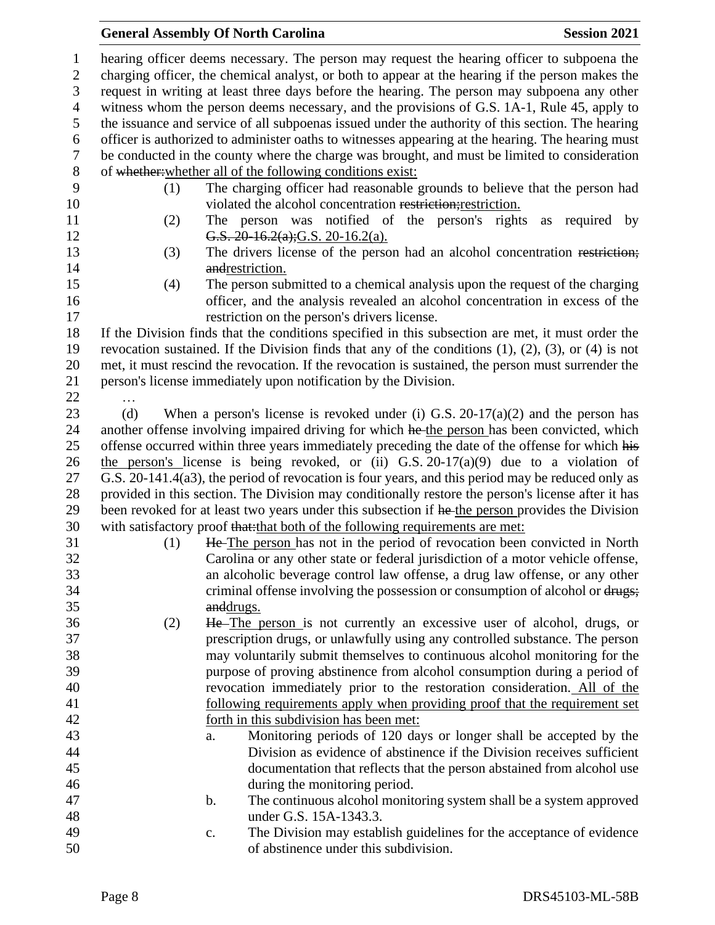## **General Assembly Of North Carolina Session 2021**

 hearing officer deems necessary. The person may request the hearing officer to subpoena the charging officer, the chemical analyst, or both to appear at the hearing if the person makes the request in writing at least three days before the hearing. The person may subpoena any other witness whom the person deems necessary, and the provisions of G.S. 1A-1, Rule 45, apply to the issuance and service of all subpoenas issued under the authority of this section. The hearing officer is authorized to administer oaths to witnesses appearing at the hearing. The hearing must be conducted in the county where the charge was brought, and must be limited to consideration of whether:whether all of the following conditions exist: (1) The charging officer had reasonable grounds to believe that the person had 10 violated the alcohol concentration restriction; restriction. (2) The person was notified of the person's rights as required by **G.S.** 20-16.2(a); G.S. 20-16.2(a). (3) The drivers license of the person had an alcohol concentration restriction; 14 and and restriction. (4) The person submitted to a chemical analysis upon the request of the charging officer, and the analysis revealed an alcohol concentration in excess of the restriction on the person's drivers license. If the Division finds that the conditions specified in this subsection are met, it must order the revocation sustained. If the Division finds that any of the conditions (1), (2), (3), or (4) is not met, it must rescind the revocation. If the revocation is sustained, the person must surrender the person's license immediately upon notification by the Division. … 23 (d) When a person's license is revoked under (i) G.S. 20-17(a)(2) and the person has 24 another offense involving impaired driving for which he the person has been convicted, which 25 offense occurred within three years immediately preceding the date of the offense for which his 26 the person's license is being revoked, or (ii) G.S. 20-17(a)(9) due to a violation of G.S. 20-141.4(a3), the period of revocation is four years, and this period may be reduced only as provided in this section. The Division may conditionally restore the person's license after it has 29 been revoked for at least two years under this subsection if he the person provides the Division 30 with satisfactory proof that: that both of the following requirements are met: (1) He The person has not in the period of revocation been convicted in North Carolina or any other state or federal jurisdiction of a motor vehicle offense, an alcoholic beverage control law offense, a drug law offense, or any other 34 criminal offense involving the possession or consumption of alcohol or drugs; anddrugs. (2) He The person is not currently an excessive user of alcohol, drugs, or prescription drugs, or unlawfully using any controlled substance. The person may voluntarily submit themselves to continuous alcohol monitoring for the purpose of proving abstinence from alcohol consumption during a period of revocation immediately prior to the restoration consideration. All of the following requirements apply when providing proof that the requirement set forth in this subdivision has been met: a. Monitoring periods of 120 days or longer shall be accepted by the Division as evidence of abstinence if the Division receives sufficient documentation that reflects that the person abstained from alcohol use during the monitoring period. b. The continuous alcohol monitoring system shall be a system approved under G.S. 15A-1343.3. c. The Division may establish guidelines for the acceptance of evidence of abstinence under this subdivision.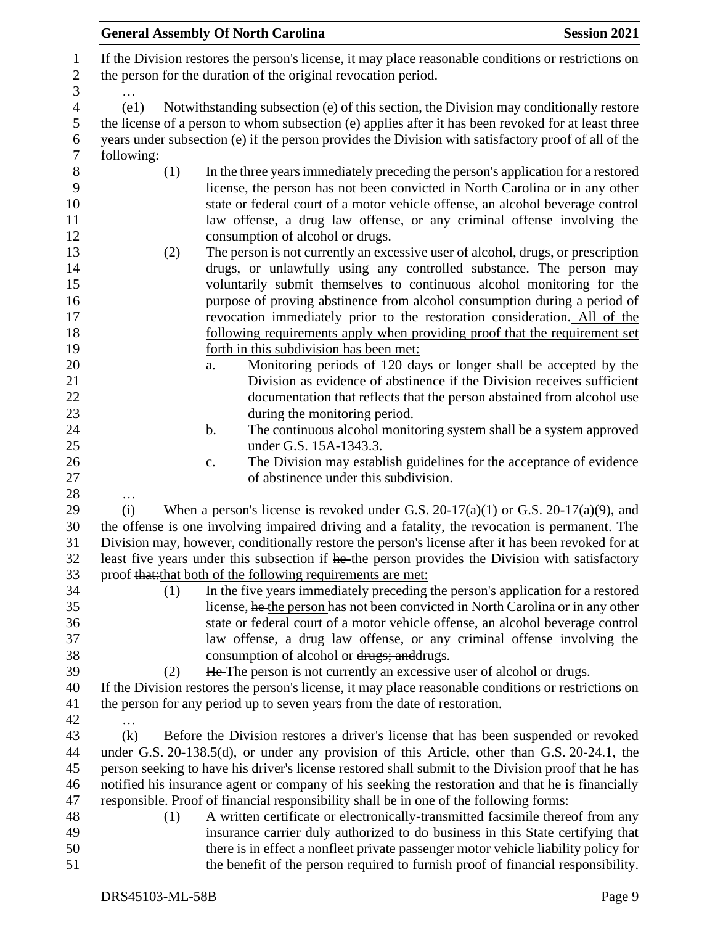|                     | <b>Session 2021</b><br><b>General Assembly Of North Carolina</b>                                                                                                                                                          |  |
|---------------------|---------------------------------------------------------------------------------------------------------------------------------------------------------------------------------------------------------------------------|--|
| 1<br>$\overline{2}$ | If the Division restores the person's license, it may place reasonable conditions or restrictions on<br>the person for the duration of the original revocation period.                                                    |  |
| 3<br>$\overline{4}$ | (e1)<br>Notwithstanding subsection (e) of this section, the Division may conditionally restore                                                                                                                            |  |
| 5<br>6<br>$\tau$    | the license of a person to whom subsection (e) applies after it has been revoked for at least three<br>years under subsection (e) if the person provides the Division with satisfactory proof of all of the<br>following: |  |
| 8                   | (1)<br>In the three years immediately preceding the person's application for a restored                                                                                                                                   |  |
| 9                   | license, the person has not been convicted in North Carolina or in any other                                                                                                                                              |  |
| 10                  | state or federal court of a motor vehicle offense, an alcohol beverage control                                                                                                                                            |  |
| 11                  | law offense, a drug law offense, or any criminal offense involving the                                                                                                                                                    |  |
| 12                  | consumption of alcohol or drugs.                                                                                                                                                                                          |  |
| 13                  | The person is not currently an excessive user of alcohol, drugs, or prescription<br>(2)                                                                                                                                   |  |
| 14                  | drugs, or unlawfully using any controlled substance. The person may                                                                                                                                                       |  |
| 15                  | voluntarily submit themselves to continuous alcohol monitoring for the                                                                                                                                                    |  |
| 16                  | purpose of proving abstinence from alcohol consumption during a period of                                                                                                                                                 |  |
| 17                  | revocation immediately prior to the restoration consideration. All of the                                                                                                                                                 |  |
| 18                  | following requirements apply when providing proof that the requirement set                                                                                                                                                |  |
| 19                  | forth in this subdivision has been met:                                                                                                                                                                                   |  |
| 20                  | Monitoring periods of 120 days or longer shall be accepted by the<br>a.                                                                                                                                                   |  |
| 21                  | Division as evidence of abstinence if the Division receives sufficient                                                                                                                                                    |  |
| 22                  | documentation that reflects that the person abstained from alcohol use                                                                                                                                                    |  |
| 23<br>24            | during the monitoring period.<br>The continuous alcohol monitoring system shall be a system approved<br>b.                                                                                                                |  |
| 25                  | under G.S. 15A-1343.3.                                                                                                                                                                                                    |  |
| 26                  | The Division may establish guidelines for the acceptance of evidence<br>c.                                                                                                                                                |  |
| 27                  | of abstinence under this subdivision.                                                                                                                                                                                     |  |
| 28                  | .                                                                                                                                                                                                                         |  |
| 29                  | When a person's license is revoked under G.S. $20-17(a)(1)$ or G.S. $20-17(a)(9)$ , and<br>(i)                                                                                                                            |  |
| 30<br>31            | the offense is one involving impaired driving and a fatality, the revocation is permanent. The<br>Division may, however, conditionally restore the person's license after it has been revoked for at                      |  |
| 32                  | least five years under this subsection if he the person provides the Division with satisfactory                                                                                                                           |  |
| 33                  | proof that: that both of the following requirements are met:                                                                                                                                                              |  |
| 34                  | In the five years immediately preceding the person's application for a restored<br>(1)                                                                                                                                    |  |
| 35                  | license, he the person has not been convicted in North Carolina or in any other                                                                                                                                           |  |
| 36                  | state or federal court of a motor vehicle offense, an alcohol beverage control                                                                                                                                            |  |
| 37                  | law offense, a drug law offense, or any criminal offense involving the                                                                                                                                                    |  |
| 38                  | consumption of alcohol or drugs; and drugs.                                                                                                                                                                               |  |
| 39                  | He The person is not currently an excessive user of alcohol or drugs.<br>(2)                                                                                                                                              |  |
| 40                  | If the Division restores the person's license, it may place reasonable conditions or restrictions on                                                                                                                      |  |
| 41<br>42            | the person for any period up to seven years from the date of restoration.                                                                                                                                                 |  |
| 43                  | Before the Division restores a driver's license that has been suspended or revoked<br>(k)                                                                                                                                 |  |
| 44                  | under G.S. 20-138.5(d), or under any provision of this Article, other than G.S. 20-24.1, the                                                                                                                              |  |
| 45                  | person seeking to have his driver's license restored shall submit to the Division proof that he has                                                                                                                       |  |
| 46                  | notified his insurance agent or company of his seeking the restoration and that he is financially                                                                                                                         |  |
| 47                  | responsible. Proof of financial responsibility shall be in one of the following forms:                                                                                                                                    |  |
| 48                  | A written certificate or electronically-transmitted facsimile thereof from any<br>(1)                                                                                                                                     |  |
| 49                  | insurance carrier duly authorized to do business in this State certifying that                                                                                                                                            |  |
| 50                  | there is in effect a nonfleet private passenger motor vehicle liability policy for                                                                                                                                        |  |
| 51                  | the benefit of the person required to furnish proof of financial responsibility.                                                                                                                                          |  |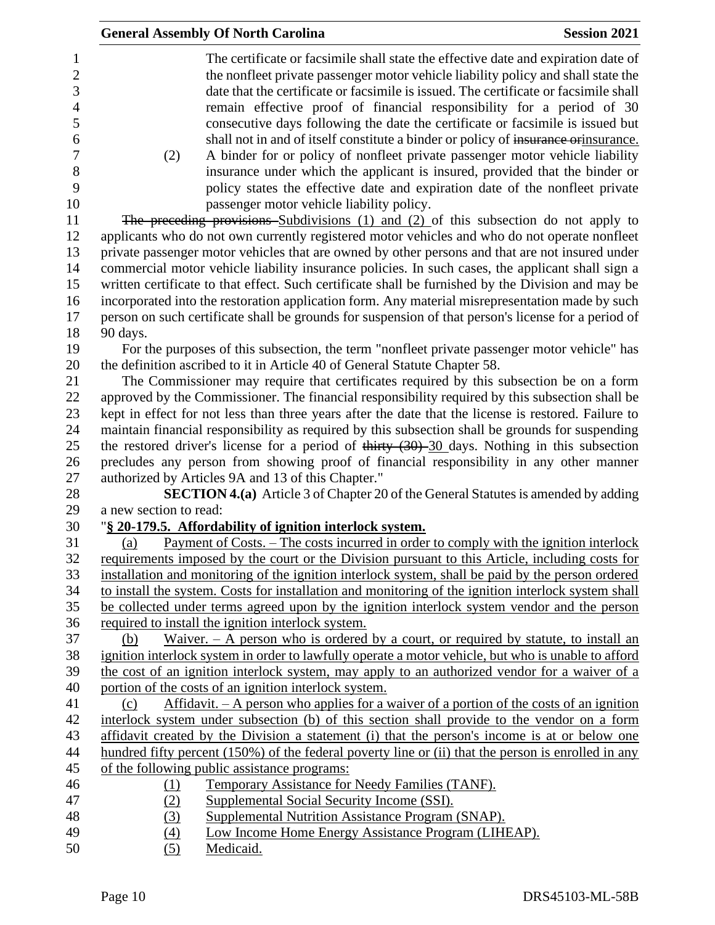|                                                      |                        | <b>General Assembly Of North Carolina</b>                                                                                                                                                                                                                                                                                                                                                                                                                                                                         | <b>Session 2021</b> |
|------------------------------------------------------|------------------------|-------------------------------------------------------------------------------------------------------------------------------------------------------------------------------------------------------------------------------------------------------------------------------------------------------------------------------------------------------------------------------------------------------------------------------------------------------------------------------------------------------------------|---------------------|
| 1<br>$\overline{c}$<br>3<br>$\overline{4}$<br>5<br>6 |                        | The certificate or facsimile shall state the effective date and expiration date of<br>the nonfleet private passenger motor vehicle liability policy and shall state the<br>date that the certificate or facsimile is issued. The certificate or facsimile shall<br>remain effective proof of financial responsibility for a period of 30<br>consecutive days following the date the certificate or facsimile is issued but<br>shall not in and of itself constitute a binder or policy of insurance or insurance. |                     |
| $\tau$<br>$8\,$                                      | (2)                    | A binder for or policy of nonfleet private passenger motor vehicle liability<br>insurance under which the applicant is insured, provided that the binder or                                                                                                                                                                                                                                                                                                                                                       |                     |
| 9<br>10                                              |                        | policy states the effective date and expiration date of the nonfleet private<br>passenger motor vehicle liability policy.                                                                                                                                                                                                                                                                                                                                                                                         |                     |
| 11                                                   |                        | The preceding provisions Subdivisions (1) and (2) of this subsection do not apply to                                                                                                                                                                                                                                                                                                                                                                                                                              |                     |
| 12                                                   |                        | applicants who do not own currently registered motor vehicles and who do not operate nonfleet                                                                                                                                                                                                                                                                                                                                                                                                                     |                     |
| 13                                                   |                        | private passenger motor vehicles that are owned by other persons and that are not insured under                                                                                                                                                                                                                                                                                                                                                                                                                   |                     |
| 14                                                   |                        | commercial motor vehicle liability insurance policies. In such cases, the applicant shall sign a                                                                                                                                                                                                                                                                                                                                                                                                                  |                     |
| 15                                                   |                        | written certificate to that effect. Such certificate shall be furnished by the Division and may be                                                                                                                                                                                                                                                                                                                                                                                                                |                     |
| 16                                                   |                        | incorporated into the restoration application form. Any material misrepresentation made by such                                                                                                                                                                                                                                                                                                                                                                                                                   |                     |
| 17                                                   |                        | person on such certificate shall be grounds for suspension of that person's license for a period of                                                                                                                                                                                                                                                                                                                                                                                                               |                     |
| 18                                                   | 90 days.               |                                                                                                                                                                                                                                                                                                                                                                                                                                                                                                                   |                     |
| 19                                                   |                        | For the purposes of this subsection, the term "nonfleet private passenger motor vehicle" has                                                                                                                                                                                                                                                                                                                                                                                                                      |                     |
| 20                                                   |                        | the definition ascribed to it in Article 40 of General Statute Chapter 58.                                                                                                                                                                                                                                                                                                                                                                                                                                        |                     |
| 21                                                   |                        | The Commissioner may require that certificates required by this subsection be on a form                                                                                                                                                                                                                                                                                                                                                                                                                           |                     |
| 22                                                   |                        | approved by the Commissioner. The financial responsibility required by this subsection shall be                                                                                                                                                                                                                                                                                                                                                                                                                   |                     |
| 23                                                   |                        | kept in effect for not less than three years after the date that the license is restored. Failure to                                                                                                                                                                                                                                                                                                                                                                                                              |                     |
| 24                                                   |                        | maintain financial responsibility as required by this subsection shall be grounds for suspending                                                                                                                                                                                                                                                                                                                                                                                                                  |                     |
| 25<br>26                                             |                        | the restored driver's license for a period of thirty $(30)$ - $30$ days. Nothing in this subsection<br>precludes any person from showing proof of financial responsibility in any other manner                                                                                                                                                                                                                                                                                                                    |                     |
| 27                                                   |                        | authorized by Articles 9A and 13 of this Chapter."                                                                                                                                                                                                                                                                                                                                                                                                                                                                |                     |
| 28                                                   |                        | <b>SECTION 4.(a)</b> Article 3 of Chapter 20 of the General Statutes is amended by adding                                                                                                                                                                                                                                                                                                                                                                                                                         |                     |
| 29                                                   | a new section to read: |                                                                                                                                                                                                                                                                                                                                                                                                                                                                                                                   |                     |
| 30                                                   |                        | "§ 20-179.5. Affordability of ignition interlock system.                                                                                                                                                                                                                                                                                                                                                                                                                                                          |                     |
| 31                                                   | (a)                    | Payment of Costs. – The costs incurred in order to comply with the ignition interlock                                                                                                                                                                                                                                                                                                                                                                                                                             |                     |
| 32                                                   |                        | requirements imposed by the court or the Division pursuant to this Article, including costs for                                                                                                                                                                                                                                                                                                                                                                                                                   |                     |
| 33                                                   |                        | installation and monitoring of the ignition interlock system, shall be paid by the person ordered                                                                                                                                                                                                                                                                                                                                                                                                                 |                     |
| 34                                                   |                        | to install the system. Costs for installation and monitoring of the ignition interlock system shall                                                                                                                                                                                                                                                                                                                                                                                                               |                     |
| 35                                                   |                        | be collected under terms agreed upon by the ignition interlock system vendor and the person                                                                                                                                                                                                                                                                                                                                                                                                                       |                     |
| 36                                                   |                        | required to install the ignition interlock system.                                                                                                                                                                                                                                                                                                                                                                                                                                                                |                     |
| 37<br>38                                             | (b)                    | Waiver. $- A$ person who is ordered by a court, or required by statute, to install an<br>ignition interlock system in order to lawfully operate a motor vehicle, but who is unable to afford                                                                                                                                                                                                                                                                                                                      |                     |
| 39                                                   |                        | the cost of an ignition interlock system, may apply to an authorized vendor for a waiver of a                                                                                                                                                                                                                                                                                                                                                                                                                     |                     |
| 40                                                   |                        | portion of the costs of an ignition interlock system.                                                                                                                                                                                                                                                                                                                                                                                                                                                             |                     |
| 41                                                   | (c)                    | Affidavit. $- A$ person who applies for a waiver of a portion of the costs of an ignition                                                                                                                                                                                                                                                                                                                                                                                                                         |                     |
| 42                                                   |                        | interlock system under subsection (b) of this section shall provide to the vendor on a form                                                                                                                                                                                                                                                                                                                                                                                                                       |                     |
| 43                                                   |                        | affidavit created by the Division a statement (i) that the person's income is at or below one                                                                                                                                                                                                                                                                                                                                                                                                                     |                     |
| 44                                                   |                        | hundred fifty percent (150%) of the federal poverty line or (ii) that the person is enrolled in any                                                                                                                                                                                                                                                                                                                                                                                                               |                     |
| 45                                                   |                        | of the following public assistance programs:                                                                                                                                                                                                                                                                                                                                                                                                                                                                      |                     |
| 46                                                   | (1)                    | Temporary Assistance for Needy Families (TANF).                                                                                                                                                                                                                                                                                                                                                                                                                                                                   |                     |
| 47                                                   | (2)                    | Supplemental Social Security Income (SSI).                                                                                                                                                                                                                                                                                                                                                                                                                                                                        |                     |
| 48                                                   | (3)                    | Supplemental Nutrition Assistance Program (SNAP).                                                                                                                                                                                                                                                                                                                                                                                                                                                                 |                     |
| 49                                                   | (4)                    | Low Income Home Energy Assistance Program (LIHEAP).                                                                                                                                                                                                                                                                                                                                                                                                                                                               |                     |
| 50                                                   | (5)                    | Medicaid.                                                                                                                                                                                                                                                                                                                                                                                                                                                                                                         |                     |